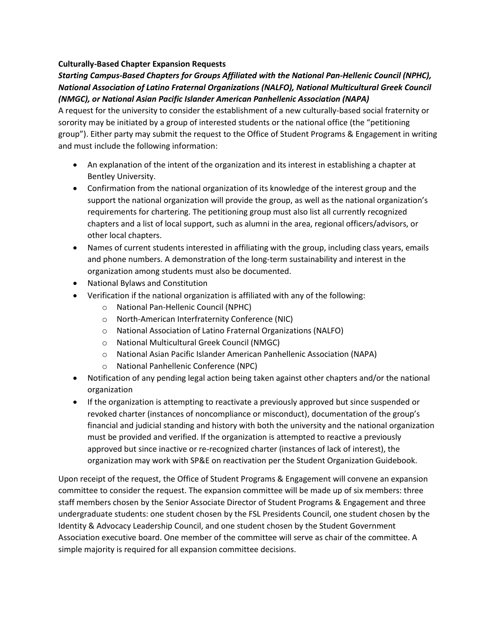## **Culturally-Based Chapter Expansion Requests**

## *Starting Campus-Based Chapters for Groups Affiliated with the National Pan-Hellenic Council (NPHC), National Association of Latino Fraternal Organizations (NALFO), National Multicultural Greek Council (NMGC), or National Asian Pacific Islander American Panhellenic Association (NAPA)*

A request for the university to consider the establishment of a new culturally-based social fraternity or sorority may be initiated by a group of interested students or the national office (the "petitioning group"). Either party may submit the request to the Office of Student Programs & Engagement in writing and must include the following information:

- An explanation of the intent of the organization and its interest in establishing a chapter at Bentley University.
- Confirmation from the national organization of its knowledge of the interest group and the support the national organization will provide the group, as well as the national organization's requirements for chartering. The petitioning group must also list all currently recognized chapters and a list of local support, such as alumni in the area, regional officers/advisors, or other local chapters.
- Names of current students interested in affiliating with the group, including class years, emails and phone numbers. A demonstration of the long-term sustainability and interest in the organization among students must also be documented.
- National Bylaws and Constitution
- Verification if the national organization is affiliated with any of the following:
	- o National Pan-Hellenic Council (NPHC)
	- o North-American Interfraternity Conference (NIC)
	- o National Association of Latino Fraternal Organizations (NALFO)
	- o National Multicultural Greek Council (NMGC)
	- o National Asian Pacific Islander American Panhellenic Association (NAPA)
	- o National Panhellenic Conference (NPC)
- Notification of any pending legal action being taken against other chapters and/or the national organization
- If the organization is attempting to reactivate a previously approved but since suspended or revoked charter (instances of noncompliance or misconduct), documentation of the group's financial and judicial standing and history with both the university and the national organization must be provided and verified. If the organization is attempted to reactive a previously approved but since inactive or re-recognized charter (instances of lack of interest), the organization may work with SP&E on reactivation per the Student Organization Guidebook.

Upon receipt of the request, the Office of Student Programs & Engagement will convene an expansion committee to consider the request. The expansion committee will be made up of six members: three staff members chosen by the Senior Associate Director of Student Programs & Engagement and three undergraduate students: one student chosen by the FSL Presidents Council, one student chosen by the Identity & Advocacy Leadership Council, and one student chosen by the Student Government Association executive board. One member of the committee will serve as chair of the committee. A simple majority is required for all expansion committee decisions.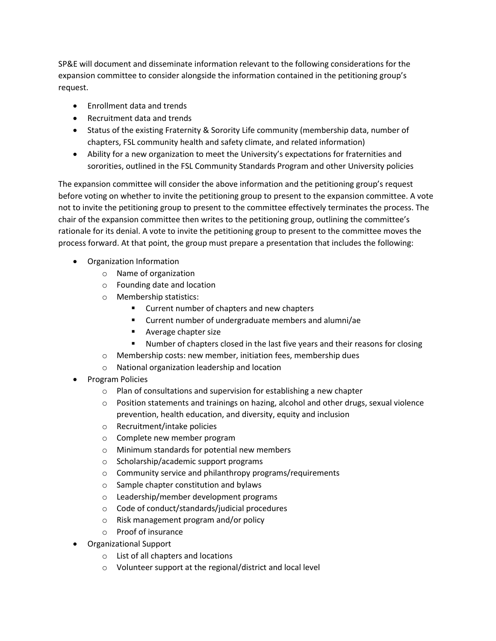SP&E will document and disseminate information relevant to the following considerations for the expansion committee to consider alongside the information contained in the petitioning group's request.

- Enrollment data and trends
- Recruitment data and trends
- Status of the existing Fraternity & Sorority Life community (membership data, number of chapters, FSL community health and safety climate, and related information)
- Ability for a new organization to meet the University's expectations for fraternities and sororities, outlined in the FSL Community Standards Program and other University policies

The expansion committee will consider the above information and the petitioning group's request before voting on whether to invite the petitioning group to present to the expansion committee. A vote not to invite the petitioning group to present to the committee effectively terminates the process. The chair of the expansion committee then writes to the petitioning group, outlining the committee's rationale for its denial. A vote to invite the petitioning group to present to the committee moves the process forward. At that point, the group must prepare a presentation that includes the following:

- Organization Information
	- o Name of organization
	- o Founding date and location
	- o Membership statistics:
		- Current number of chapters and new chapters
		- Current number of undergraduate members and alumni/ae
		- Average chapter size
		- Number of chapters closed in the last five years and their reasons for closing
	- o Membership costs: new member, initiation fees, membership dues
	- o National organization leadership and location
- Program Policies
	- o Plan of consultations and supervision for establishing a new chapter
	- $\circ$  Position statements and trainings on hazing, alcohol and other drugs, sexual violence prevention, health education, and diversity, equity and inclusion
	- o Recruitment/intake policies
	- o Complete new member program
	- o Minimum standards for potential new members
	- o Scholarship/academic support programs
	- o Community service and philanthropy programs/requirements
	- o Sample chapter constitution and bylaws
	- o Leadership/member development programs
	- o Code of conduct/standards/judicial procedures
	- o Risk management program and/or policy
	- o Proof of insurance
- Organizational Support
	- o List of all chapters and locations
	- o Volunteer support at the regional/district and local level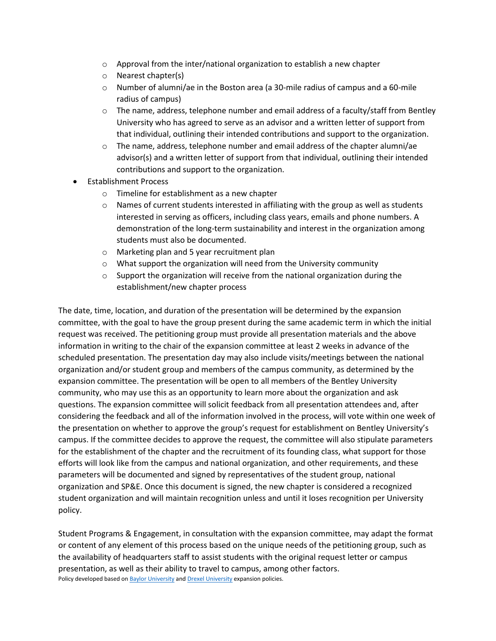- $\circ$  Approval from the inter/national organization to establish a new chapter
- o Nearest chapter(s)
- o Number of alumni/ae in the Boston area (a 30-mile radius of campus and a 60-mile radius of campus)
- $\circ$  The name, address, telephone number and email address of a faculty/staff from Bentley University who has agreed to serve as an advisor and a written letter of support from that individual, outlining their intended contributions and support to the organization.
- $\circ$  The name, address, telephone number and email address of the chapter alumni/ae advisor(s) and a written letter of support from that individual, outlining their intended contributions and support to the organization.
- Establishment Process
	- o Timeline for establishment as a new chapter
	- $\circ$  Names of current students interested in affiliating with the group as well as students interested in serving as officers, including class years, emails and phone numbers. A demonstration of the long-term sustainability and interest in the organization among students must also be documented.
	- o Marketing plan and 5 year recruitment plan
	- o What support the organization will need from the University community
	- o Support the organization will receive from the national organization during the establishment/new chapter process

The date, time, location, and duration of the presentation will be determined by the expansion committee, with the goal to have the group present during the same academic term in which the initial request was received. The petitioning group must provide all presentation materials and the above information in writing to the chair of the expansion committee at least 2 weeks in advance of the scheduled presentation. The presentation day may also include visits/meetings between the national organization and/or student group and members of the campus community, as determined by the expansion committee. The presentation will be open to all members of the Bentley University community, who may use this as an opportunity to learn more about the organization and ask questions. The expansion committee will solicit feedback from all presentation attendees and, after considering the feedback and all of the information involved in the process, will vote within one week of the presentation on whether to approve the group's request for establishment on Bentley University's campus. If the committee decides to approve the request, the committee will also stipulate parameters for the establishment of the chapter and the recruitment of its founding class, what support for those efforts will look like from the campus and national organization, and other requirements, and these parameters will be documented and signed by representatives of the student group, national organization and SP&E. Once this document is signed, the new chapter is considered a recognized student organization and will maintain recognition unless and until it loses recognition per University policy.

Student Programs & Engagement, in consultation with the expansion committee, may adapt the format or content of any element of this process based on the unique needs of the petitioning group, such as the availability of headquarters staff to assist students with the original request letter or campus presentation, as well as their ability to travel to campus, among other factors. Policy developed based o[n Baylor University](https://www.baylor.edu/studentactivities/policy/index.php?id=950305) an[d Drexel University](https://dragonlink.drexel.edu/organization/office-of-fraternity-and-sorority-life/documents/view/752856) expansion policies.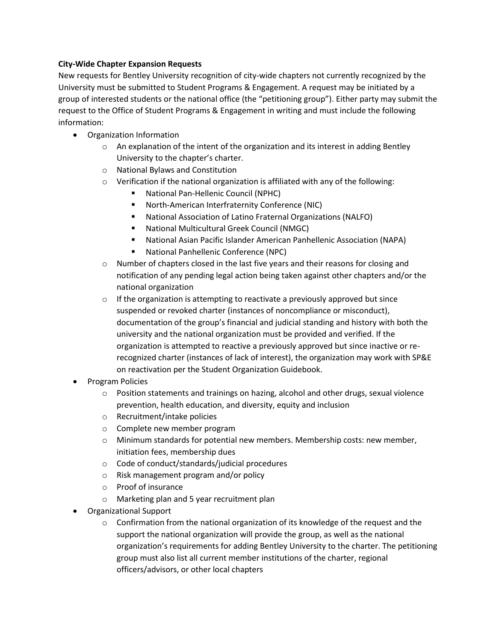## **City-Wide Chapter Expansion Requests**

New requests for Bentley University recognition of city-wide chapters not currently recognized by the University must be submitted to Student Programs & Engagement. A request may be initiated by a group of interested students or the national office (the "petitioning group"). Either party may submit the request to the Office of Student Programs & Engagement in writing and must include the following information:

- Organization Information
	- $\circ$  An explanation of the intent of the organization and its interest in adding Bentley University to the chapter's charter.
	- o National Bylaws and Constitution
	- o Verification if the national organization is affiliated with any of the following:
		- National Pan-Hellenic Council (NPHC)
		- North-American Interfraternity Conference (NIC)
		- National Association of Latino Fraternal Organizations (NALFO)
		- National Multicultural Greek Council (NMGC)
		- National Asian Pacific Islander American Panhellenic Association (NAPA)
		- National Panhellenic Conference (NPC)
	- $\circ$  Number of chapters closed in the last five years and their reasons for closing and notification of any pending legal action being taken against other chapters and/or the national organization
	- $\circ$  If the organization is attempting to reactivate a previously approved but since suspended or revoked charter (instances of noncompliance or misconduct), documentation of the group's financial and judicial standing and history with both the university and the national organization must be provided and verified. If the organization is attempted to reactive a previously approved but since inactive or rerecognized charter (instances of lack of interest), the organization may work with SP&E on reactivation per the Student Organization Guidebook.
- Program Policies
	- $\circ$  Position statements and trainings on hazing, alcohol and other drugs, sexual violence prevention, health education, and diversity, equity and inclusion
	- o Recruitment/intake policies
	- o Complete new member program
	- o Minimum standards for potential new members. Membership costs: new member, initiation fees, membership dues
	- o Code of conduct/standards/judicial procedures
	- o Risk management program and/or policy
	- o Proof of insurance
	- o Marketing plan and 5 year recruitment plan
- Organizational Support
	- $\circ$  Confirmation from the national organization of its knowledge of the request and the support the national organization will provide the group, as well as the national organization's requirements for adding Bentley University to the charter. The petitioning group must also list all current member institutions of the charter, regional officers/advisors, or other local chapters